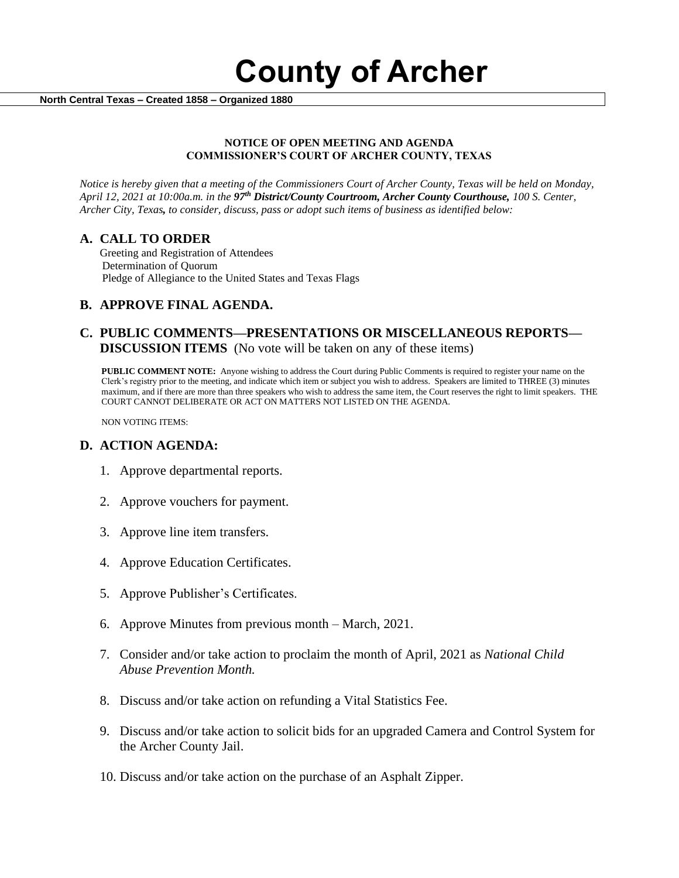**County of Archer** 

 **North Central Texas – Created 1858 – Organized 1880**

#### **NOTICE OF OPEN MEETING AND AGENDA COMMISSIONER'S COURT OF ARCHER COUNTY, TEXAS**

*Notice is hereby given that a meeting of the Commissioners Court of Archer County, Texas will be held on Monday, April 12, 2021 at 10:00a.m. in the 97th District/County Courtroom, Archer County Courthouse, 100 S. Center, Archer City, Texas, to consider, discuss, pass or adopt such items of business as identified below:*

#### **A. CALL TO ORDER**

 Greeting and Registration of Attendees Determination of Quorum Pledge of Allegiance to the United States and Texas Flags

## **B. APPROVE FINAL AGENDA.**

## **C. PUBLIC COMMENTS—PRESENTATIONS OR MISCELLANEOUS REPORTS— DISCUSSION ITEMS** (No vote will be taken on any of these items)

**PUBLIC COMMENT NOTE:** Anyone wishing to address the Court during Public Comments is required to register your name on the Clerk's registry prior to the meeting, and indicate which item or subject you wish to address. Speakers are limited to THREE (3) minutes maximum, and if there are more than three speakers who wish to address the same item, the Court reserves the right to limit speakers. THE COURT CANNOT DELIBERATE OR ACT ON MATTERS NOT LISTED ON THE AGENDA.

NON VOTING ITEMS:

## **D. ACTION AGENDA:**

- 1. Approve departmental reports.
- 2. Approve vouchers for payment.
- 3. Approve line item transfers.
- 4. Approve Education Certificates.
- 5. Approve Publisher's Certificates.
- 6. Approve Minutes from previous month March, 2021.
- 7. Consider and/or take action to proclaim the month of April, 2021 as *National Child Abuse Prevention Month.*
- 8. Discuss and/or take action on refunding a Vital Statistics Fee.
- 9. Discuss and/or take action to solicit bids for an upgraded Camera and Control System for the Archer County Jail.
- 10. Discuss and/or take action on the purchase of an Asphalt Zipper.